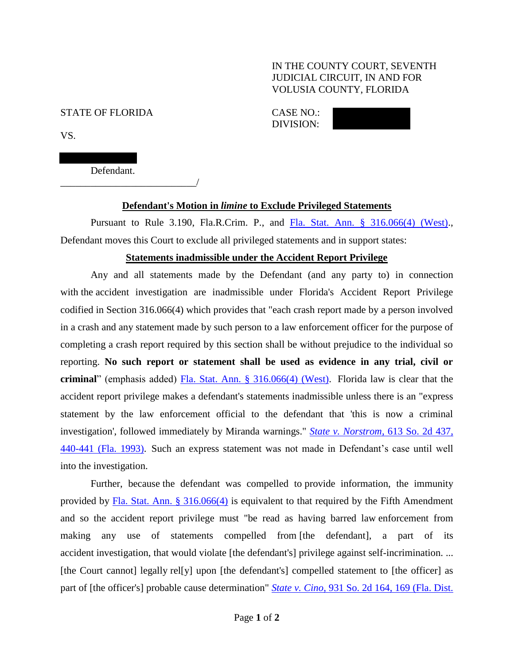### IN THE COUNTY COURT, SEVENTH JUDICIAL CIRCUIT, IN AND FOR VOLUSIA COUNTY, FLORIDA

#### STATE OF FLORIDA CASE NO.:

DIVISION:

VS.

Defendant.

\_\_\_\_\_\_\_\_\_\_\_\_\_\_\_\_\_\_\_\_\_\_\_\_\_\_\_/

KENNETH SINK,

# **Defendant's Motion in** *limine* **to Exclude Privileged Statements**

Pursuant to Rule 3.190, Fla.R.Crim. P., and [Fla. Stat. Ann. § 316.066\(4\) \(West\).](https://www.westlaw.com/Document/NF7EBB7E0FC1511E3A2CBB1CD31DFFF6C/View/FullText.html?transitionType=Default&contextData=(sc.Default)&VR=3.0&RS=da3.0), Defendant moves this Court to exclude all privileged statements and in support states:

#### **Statements inadmissible under the Accident Report Privilege**

Any and all statements made by the Defendant (and any party to) in connection with the accident investigation are inadmissible under Florida's Accident Report Privilege codified in Section 316.066(4) which provides that "each crash report made by a person involved in a crash and any statement made by such person to a law enforcement officer for the purpose of completing a crash report required by this section shall be without prejudice to the individual so reporting. **No such report or statement shall be used as evidence in any trial, civil or criminal**" (emphasis added) [Fla. Stat. Ann. § 316.066\(4\) \(West\).](https://www.westlaw.com/Document/NF7EBB7E0FC1511E3A2CBB1CD31DFFF6C/View/FullText.html?transitionType=Default&contextData=(sc.Default)&VR=3.0&RS=da3.0) Florida law is clear that the accident report privilege makes a defendant's statements inadmissible unless there is an "express statement by the law enforcement official to the defendant that 'this is now a criminal investigation', followed immediately by Miranda warnings." *State v. Norstrom*[, 613 So. 2d 437,](https://www.westlaw.com/Document/I013f87550c8311d9bc18e8274af85244/View/FullText.html?transitionType=Default&contextData=(sc.Default)&VR=3.0&RS=da3.0&fragmentIdentifier=co_pp_sp_735_440)  [440-441 \(Fla.](https://www.westlaw.com/Document/I013f87550c8311d9bc18e8274af85244/View/FullText.html?transitionType=Default&contextData=(sc.Default)&VR=3.0&RS=da3.0&fragmentIdentifier=co_pp_sp_735_440) 1993). Such an express statement was not made in Defendant's case until well into the investigation.

Further, because the defendant was compelled to provide information, the immunity provided by [Fla. Stat. Ann. § 316.066\(4\)](https://www.westlaw.com/Document/NF7EBB7E0FC1511E3A2CBB1CD31DFFF6C/View/FullText.html?transitionType=Default&contextData=(sc.Default)&VR=3.0&RS=da3.0) is equivalent to that required by the Fifth Amendment and so the accident report privilege must "be read as having barred law enforcement from making any use of statements compelled from [the defendant], a part of its accident investigation, that would violate [the defendant's] privilege against self-incrimination. ... [the Court cannot] legally rel[y] upon [the defendant's] compelled statement to [the officer] as part of [the officer's] probable cause determination" *State v. Cino*[, 931 So. 2d 164, 169 \(Fla. Dist.](https://www.westlaw.com/Document/I6b2bc4b5e1bd11dab3be92e40de4b42f/View/FullText.html?transitionType=Default&contextData=(sc.Default)&VR=3.0&RS=da3.0&fragmentIdentifier=co_pp_sp_735_169)